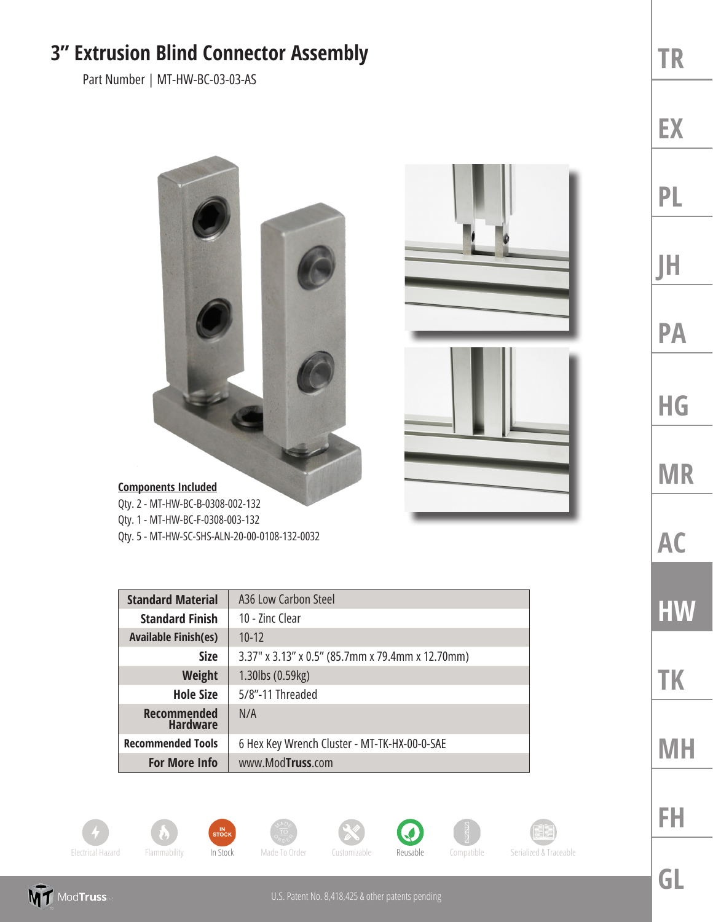## **3" Extrusion Blind Connector Assembly**

Part Number | MT-HW-BC-03-03-AS



## **Components Included**

Qty. 2 - MT-HW-BC-B-0308-002-132 Qty. 1 - MT-HW-BC-F-0308-003-132

Qty. 5 - MT-HW-SC-SHS-ALN-20-00-0108-132-0032

| <b>Standard Material</b>              | A36 Low Carbon Steel                             |
|---------------------------------------|--------------------------------------------------|
| <b>Standard Finish</b>                | 10 - Zinc Clear                                  |
| <b>Available Finish(es)</b>           | $10 - 12$                                        |
| <b>Size</b>                           | 3.37" x 3.13" x 0.5" (85.7mm x 79.4mm x 12.70mm) |
| <b>Weight</b>                         | 1.30lbs (0.59kg)                                 |
| <b>Hole Size</b>                      | 5/8"-11 Threaded                                 |
| <b>Recommended</b><br><b>Hardware</b> | N/A                                              |
| <b>Recommended Tools</b>              | 6 Hex Key Wrench Cluster - MT-TK-HX-00-0-SAE     |
| <b>For More Info</b>                  | www.ModTruss.com                                 |



**MT** ModTruss













**TR EX PL JH PA HG**

**MR**

**AC**

**HW**

**TK**

**MH**

**GL**

**FH**